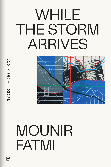## WHILE THE STORM ARRIVES



# MOUNIR **FATMI**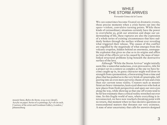#### WHII F THE STORM ARRIVES

Fernando Gómez de la Cuesta

We can sometimes become fixated on dramatic events, those precise moments when a crisis bursts out into the open—violent, convulsive turning points. While these kinds of extraordinary situations certainly have the power to overwhelm us, grab our attention and shape our un derstanding of life, these ruptures are also the expression of a whole series of existing circumstances that have sud denly broken through the surface without ever revealing what triggered their release. The causes of this conflict are engulfed by the magnitude of what emerges from this volcanic eruption, hidden behind an enormous, unstoppa ble explosion that gives no clue as to its origins and offers no hint of the effects yet to be caused by the mass of inter linked structural problems lying beneath the destructive surface of the lava.

Although "While the Storm Arrives" might initially seem like a somewhat audacious, even provocative, title for a project set in a context as complex as the one we have become caught up in, its gutsy character might well draw its strength from a premonition, a forewarning from a time and place that has pushed us to the very brink of catastrophe, left peering into an even more perverse chasm of ruin and crisis than our current tense reality. Creators such as mounir fatmi are brave visionaries, keen-eyed observers who look at new places from fresh perspectives and open our own eyes along the way, while showing us that one-off events tend to be far less traumatic than a critical reality stretched out over time. In this fragile world of ours, where everything is in terconnected, we have now reached a breaking point with no return, that moment when we face decisive questions on transcendental matters that threaten our very existence. A state of utter uncertainty that calls for answers designed

mounir fatmi*, Before the Storm,* 2019-2022 (detail). Acrylic on paper. Series of 12 paintings, 84 ×118 cm each. Courtesy of the artist and Goodman Gallery, Londres / Johannesburg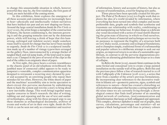to change this unsustainable situation in which, however powerful they may be, the first raindrops, the first gusts of wind, are mere heralds of the coming storm.

In this exhibition, fatmi explores the emergence of all these accounts and commentaries we increasingly have to bear—physically and intellectually violent narratives that have marked our past and are now shaping our future. Around the large central installation *Inside the Fire Circle 02*  (2017-2022), the artist forges a metaphor of the construction of history, the factors conditioning it, the interests governing it and the grasping tentacles sent out by the dominant power, while still leaving a chink of hope that this hamstrung, unhinged and indolent society might somehow rouse itself to search for change that has never been needed so urgently. *Inside the Fire Circle 02* is a sculptural installation made up of a number of vintage typewriters arranged on the gallery floor, interconnected by a strange thicket of tangled black and red jump leads, of the kind used to jumpstart a car. Clamped in the jaws of several of the clips at the end of the cables is an enigmatic sheet of paper.

At first sight, this piece bears a certain resemblance to the chaotic panel of an old telephone switchboard: the jumbled mass of connected cables appears to be ready to jumpstart a venerable, complex communication apparatus designed to retransmit a recurring story dictated by power and accepted by an unwitting people who repeat their mistakes far too often. However, the white sheets of paper and the machines' accessibility aim to invite spectators to short-circuit this perverse mechanism by emboldening them to hack the system and rewrite a story to bring about a now inevitable change. This work brings together many regular concerns in fatmi's research: the idea of writing, rubbing out and repeating and the use of text and outdated technologies, along with his three-pronged urge to use these elements as archaeological documents, archives of events and works of art in their own right. *Inside the Fire Circle 02* can be seen not only as a transmitter and receiver of information, history and accounts of history, but also as a means of transformation, a tool for forging new paths.

Three pieces have been specially created for this project. *The Point of No Return* (2022) is a fragile work that explores the idea of a world invaded by information, where everything has been turned into often complex and incomprehensible data, graphs and symbols that synthesise and transmute our relationship with reality, conditioning us and manipulating our behaviour. It takes shape as a delicate clay vessel decorated with a series of visual motifs illustrating the grim state of disarray in which we find ourselves. The artist's choice of material and technique serves two basic purposes: to represent the fragility of a structure built on very shaky social, economic and ecological foundations; and to champion simple, traditional forms of craftsmanship and popular culture in a deliberate attempt to seek out our origins, an improved return to an idea of a sustainable equilibrium, in contrast to all the perverse degenerations produced by an alienating globalisation that keeps us in a state of collapse.

In *Before the Storm* (2022), mounir fatmi continues in the same formal and conceptual vein to create a large painted installation on the outside wall of the gallery. Both this and the previous piece follow a line of research started in 2008 with *Calligraphy of the Unknown* (2018–2020), a series that drew from a number of the artist's previous formulations. By incorporating clear references to the decorative tradition in Islamic art—geometric patterns, signs, symbols and references to nature—fatmi has created a disturbing set of polychrome arabesques that become a cutting metaphor of the tense times we are currently living through: a chronological context that finds itself prisoner of an unending global network of confusion, (non)communication and (dis)information that keeps us both subjugated and oppressed. This complex, abstract alphabet is made out of graphs, data curves, calculations, percentages and statistics—all set against a black background with lines in primary colours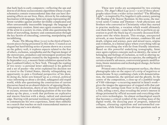that hark back to early computers—ref lecting the ups and downs of all those socioeconomic algorithms whose cryptic schematics contain transcendental data that can have devastating effects on our lives. Here, driven by his endearing fascination with language, fatmi sets signs representing different variables against another devilishly complicated and often unreasonably inaccessible language: the language of contemporary creation. fatmi once again examines the role of the artist in a society in crisis, while also questioning the limits of storytelling, memory and communication through the key factors of concealing, censoring, manipulating and invisibilising.

*Poems: The Missing Show* (2022) is the third of fatmi's recent pieces being presented in this show. Created as an elegant but hard-hitting series of poems shown on a screen on the gallery wall, it explores aspects related to the fear of others, exclusion, xenophobia and the f lagrant danger of the stereotypes, prejudices and intransigent positions that flow from the slogans created by the hegemony of empire. In September 2017, a mounir fatmi exhibition opened at the Jane Lombard Gallery in New York. Through the reading of two texts—a personal letter addressed to his gallerist and a set of poems—the artist explained his decision not to travel to the United States, thereby relinquishing any opportunity to gain a firsthand perspective of his show. In doing do, fatmi sets himself up as a critical, political voice informing us about a divided, subjugated and stupid world, while also questioning the construction of current discourses based on an absurd dialectic of opposing blocks. This poetic declaration, shorn of any rhetorical flourishes or excuses, stresses the unshaking position of the text that makes up the piece, a work that performs an explicative and sincere function with a sharp, radical and emotional edge. Starting with personal testimony and autobiography to communicate his own experience, fatmi then embarks on a search that touches on such transcendental matters as recognising one's own identity.

and for worse.

These new works are accompanied by two existing pieces. *The Angel's Black Leg* (2011)—a set of three photographs taken from a wider series entitled "The Blinding Light"—is inspired by Fra Angelico's 15th-century painting *The Healing of the Deacon Justinian*. In this scene, the martyred saints Cosmas and Damian—Arab physicians and brothers who converted to Christianity when they started to practise medicine, a vocation which would ultimately cost them their heads—come back to life to perform an operation to graft the black leg of a recently deceased Ethiopian onto the white deacon. This strange, unexpected artwork, at once beautiful and sinister, combines life and death, religion and science, pure and mixed races, origins and evolution, in a liminal space where everything rubs up against everything else with far from friendly intentions. Based on this powerful underlying iconography, fatmi once again explores concepts such as identity, the sense of belonging and feelings of exclusion, as well as altering nature, the danger of extinction as a species, the ambiguity of certain scientific advances, controversial genetic modifications, bionic mutations and technological change, for better

Printed onto a backlit transparent surface, the three photographs take on the aspect of a strip of negatives or monochrome X-rays combining a halo with dematerialisation, the immaterial, the spiritual and the ghostly. In the centre of the composition, a close-up of a jumbled tangle of VHS videotape—a recurring material in fatmi's work gives the images the appearance of cropped stills that ended up on the cutting room floor in the process of making a film, telling a story, thus revealing the artist's interest in things jettisoned by official accounts and everything related to retro technologies. An almost archaeological search that becomes a critical symbol of the swirling mass of the digital world, the dizzying pace of progress, industrial collapse, alienating capitalism and untrammelled consumerism, while hinting at less obvious questions such as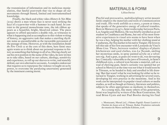the transmission of information and its malicious manipulation, that fateful post-truth that vies to shape all our movements through biased, limited and instrumentalised knowledge.

Finally, the black-and-white video *History Is Not Mine* (2013) shows a man whose face is never seen striking the keys of a typewriter with a hammer in each hand. In contrast to the general monochrome tone, the ink ribbon appears as a beautiful, bright, blood-red colour. The piece appears to afford spectators a double role, as witnesses to what is happening and as accomplices to this violent writing of history, an aggressive task that makes a startling rhythmic noise as uncomfortable as the inexorable percussion of the passage of time. However, as with the installation *Inside the Fire Circle 02* at the core of this show, here fatmi once again wants us to think about our personal response to history as something that belongs to all of us. Having clearly set out his own position in the name of the video, he now invites us to take sides, based on our culture, ideology, sensitivity and experience, to roll up our sleeves to write, and stanchly defend, our own alternative accounts. A complex endeavour that requires us to repurpose the violence wrought on us by power, to overcome the paralysing uncertainty generated by the imminent coming storm.

### MATERIALS & FORM

Lillian Davies

Playful and provocative, multidisciplinary artist mounir fatmi employs the materials and tools of communication and trade. His work unfolds as a story, a poem at times, that speaks of the generative energy of cultural transfers. Born in Morocco in 1970, fatmi works today between Paris, Los Angeles and Mallorca. He was brief ly enrolled as an art student in Casablanca and Rome, but one of his most formative experiences in visual arts seems to have been when he was a boy, helping his mother with her clothing stand at Casabarata, the flea market in his native Tangier. He loves to tell this tale of his first encounter with Leonardo da Vinci's *Mona Lisa*. There, between vendors' displays of plastic kitchenware and used clothes, was *La Joconde*, smiling her mysterious smile, in spray painted acrylic on a velveteen rug. And a goat, as goats are wont to do, was devouring her. Comically vulnerable to the jaws of livestock, in fatmi's childhood eyes, a cultural icon became a material, soft as a wad of chewing gum. fatmi's curiosity was ignited but art school in Morocco at the time was not what it would soon be in Tétouan, so he headed to Italy and enrolled in life drawing.1 But that wasn't what he was looking for either so he returned to Tangier, working in advertising for several years, developing his own practice in the meantime. And so his work can be interpreted via popular visual culture or media studies, as well as though art history, literature and politics, subjects he often appropriates as mediums in themselves.

As a young man, like many others of his generation, fatmi was inspired by writers of the Beat Generation. He read Brion Gysin and met Paul Bowles during his final

1. Montazami, Morad (ed.). *Volumes Fugitifs: Faouzi Laatiris et l'Institut des beaux-arts de Tétouan*. Rabat: Fondation nationale des musées du Maroc and Kulte Editions, 2016.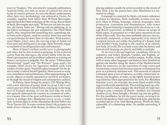years in Tangiers. The movement's renegade publications inspired fatmi, not only in terms of content but also in terms of creative process. As were the Beats' publications, often their very methodology was subversive. Gysin, for example, together with fellow Beat William Burroughs, appropriated the Dada technique of the cut-up. Razor blade in hand, Burroughs once said: "When you cut into the present, the future leaks out." Slicing and recombining, as in the fold-in technique the pair adopted for *The Third Mind* (1978), they imagined that something new, something other from each original, could be created. fatmi has used the cut-up technique for more than two decades. With scissors, razor blades, rotary saws, the curving script of Arabic cut from steel and sharpened to an edge, fatmi formally engages methods of reconfiguration and confrontation.

Most of fatmi's earliest works were in photography and video, but he also worked in painting. In his works on canvas from the mid-1990s, the artist's battle with the medium's preciousness and its stubborn adhesion to existing art history narratives is palpable. For the series "Obliteration Memorizing" (1996) and "No Witness" (1995–1996), for example, fatmi covers his figurative student work with washes of white paint. Youthful embarrassment? Or the desire to make a radical break? Quickly, fatmi turned to sculpture, installation and performance, often appropriating, as if to test, objects or motifs canonized as sacred by art history, or through the rituals of religion and contemporary politics.

To Palma, fatmi brings his project *The Missing Show*, with a new selection of poems made in cut-up. Like a caricature portrait of the United States, waking up in the hangover of Trump's election, it's not the first time the artist has squarely addressed the country at a moment of collective trauma. One of the most well-known works in fatmi's oeuvre is perhaps *Save Manhattan* (2003–2005), a rendition, in found objects, of the Manhattan skyline before the Twin Towers fell. In some versions fatmi's skyscrapers are made of two volumes of the Koran, in others, it's speakers,

playing ambient sounds the artist recorded on the streets of New York. Like the poems here, *Save Manhattan* is a memorial in collage.

Language is a material for fatmi, a dynamic substance he places at a distance, fluid, malleable, at times even suspect. Here in Palma, language, indeed, languages, their production, translation and dissimulation, take center stage. Typeset lettering is hammered by the artist on a vintage Royal typewriter, scribbled by visitors on scraps of blank paper, or presented as a video piece mounted on one of the white walls. Text becomes malleable (always chewy), practically sculptural, as fatmi approaches it by means of a surgical process not unlike the grafting of a human limb onto another's body, leading to the creation of an entirely new body (of work). He is acutely aware that the history and form of each language are plural, and liable to multiply.

In an ever-evolving linguistic cacophony driven by commerce and belief, Spanish, Catalan, and English, together, of course, with fatmi's mother tongue, Arabic, along with so many other languages and dialects, have brushed up against one another along the shores of the Mediterranean Basin for centuries. In the repetition of trade routes and transactions, connections between nascent civilizations first grew as a primarily maritime web. This network of cultural exchanges spun a sort of tapestry, as richly colored and coherent, one imagines, at times, as the tightly knotted prayer rugs fatmi has often appropriated in his work. For *Maximum Sensation* (2010), for example, the artist fitted swaths of the rugs to trick-ready skateboards. The resulting mash-up, a formalized culture clash, engages the shorthand of visual marketing to pose a scenario of *altérité*—doubled. For *Oriental Accident* (2011), fatmi brought a Persian rug into the gallery. For this installation, he left the weave uncut, covering it instead with speakers, their cones filled with nails, playing the recorded uproar of an Arab Spring protest. Words are indecipherable, it's a shattering noise. An audible unraveling, if you will.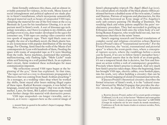fatmi formally embraces this chaos, and an almost inevitably potential for violence, in his work. Messy knots of social entanglement and political upheaval are made plastic in fatmi's installations, which incorporate semantically charged material such as heaps of unspooled VHS tape. Adopting the material for one of the first times at the 2009 Biennale de Lyon for his installation *Ghosting*, it is an important motif in fatmi's work. A sort of dinosaur-age technology nowadays, one I have to explain to my children, and perhaps even to you, dear reader: developed in the 1950s for consumer use, VHS tapes are analog video cassettes with two spools of magnetic tape. Their rigid black cases are roughly the size of a hardback novel; the black plastic boxes are synonymous with popular distribution of the moving image. For *Ghosting,* fatmi lined the walls of the Musée d'art contemporain de Lyon with hundreds of them, flooding the space with reams of unspooled tape as if it were bleeding from the walls. Xerox machines, positioned like sentinels, malfunctioning, only flashing light. "Mehr Licht!" reads white serif lettering on a wall painted black. In an explosive short circuit, fatmi rendered these technologies for mass communication impotent.

"My reflections around VHS tapes began at the beginning of the 90s," fatmi has explained. At that time, "the tapes served as a way to disseminate propaganda in Morocco that was coming from Saudi Arabian preaching."<sup>2</sup> As a teenager, at a wedding video shop where he worked day shifts, fatmi stayed after hours making illegal copies of these tapes. Radical Koranic exegesis, it was belief—in language, sound and moving image—that was on the black market. Later, for fatmi, Bin Laden's infamous tape would even further charge this material with destructive power.

VHS tape unspooled—no longer viewable, and silenced, as it were—appears here as the central image of fatmi's photographic triptych *The Angel's Black Leg* (2011). It is a detail photo of a bundle of the black plastic ribbon positioned between a doubled scene of the twin saints, Cosmos and Damian. Patrons of surgeons and pharmacists, for this work, fatmi borrowed an X-ray image of Fra Angelico's early 15th century painting *The Healing of Justinian*. The resulting black and white palette amplifies the pairs' revolutionary procedure. They had succeeded in grafting an Ethiopian man's black limb onto the white body of a suffering Roman Emperor, who would build not one, but two sumptuous churches in the saints' honor.

fatmi's ongoing research and formal translations of complex social and religious circuitries echoes Beatrice Joyeux-Prunel's idea of "transnational networks". For the French historian, the "social, transnational and pictorial space" is where the avant-garde rises, where a conceptual rupture occurs, where the rumblings before a storm can be heard, if we are to follow fatmi's metaphor here.3 Joyeux-Prunel asserts that in the birth of an avant-garde, it's not a temporal break that is decisive, but first and foremost an action within a web of contemporary geopolitics. Precisely where fatmi's practice is situated. And very much how fatmi's practice takes shape. Since the beginning, fatmi has brought VHS tape, electric cables, even hookah pipes, into his work, very often building a circuitry that can be seen as a formal mapping of a kind of transnational network.

If Joyeux-Prunel's theoretical circuitry describes the formal structure of fatmi's work, it is the "cultural transfers" theorized by Michel Espagne that provides the electric current, its charge, if you will. One of the dynamics

<sup>2.</sup> mounir fatmi as quoted in the author's *Suspect Language*. Milan: Skira, 2012, p. 48.

<sup>3.</sup> Beatrice Joyeux-Prunel, author of *Les avant-gardes artistiques* (Gallimard, 2017 & 2021) in her lecture "Moderns and avant-gardes versus 'Classics': a history of space more than time" at ARVIMM (Groupe de recherche sur les arts visuels du monde musulman), Conference at École des hautes études en sciences sociales, Paris, February 2018.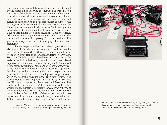that can be observed in fatmi's work, it is a concept coined by the historian to describe the network of transmission that grows from those crystallizing moments when an object, idea or a word, long considered a given in its home, runs into another, in a faraway place. Espagne identified religious missionaries and sea merchants as some of the first agents of this sociological phenomenon and names the importance of language in the process. "All passages of a cultural object from one context to another has as a consequence a transformation of its meaning," Espagne writes, "that we cannot completely recognize unless we consider the historic vectors of its passage."4 A transnational, linguistic circuitry, then, that is at times playful, others, more menacing.

Like VHS tapes and electrical cables, typewriters are also a motif in fatmi's practice. A modern machine that debuted at the dawn of the 20th century, it dominated in the production of written type for decades. fatmi's short video*, History Is Not Mine* (2013), played here on loop, pictures the artist himself, in a dark suit, seated before a vintage Royal typewriter. Hammering away at the keys with the clawed peens of two actual metal hammers, what we might cynical- $\hat{I}$ y see today as a dramatically "social distanced" approach, fatmi hits at random. Punching their unbackspaceable imprints onto a white page, after each phrase of percussion, when the machine gives its signal ring, fatmi pushes the platen back to its starting point and begins again. He does not lift the carriage return lever, so black lettering piles up thick like the mounds of VHS film in some of his other works. If only in its title, here fatmi's *Inside the Fire Circle 02* (2017) is incendiary. But in this installation and film, fatmi only alludes to the possibility of destruction through a juxtaposition of media and the quickening pace of film cuts. In both cases, he also creates a sonic network, a haunting

4. Espagne, Michel. "La notion du transfert culturel". In *Revue Science/Lettres*, 2012. <https://journals.openedition.org/rsl/219>



mounir fatmi, *Inside the Fire Circle 02,* 2017 (detail). Installation. Typewriters, starter cables, papers. Dimensions variable. Courtesy of the artist and Conrads Gallery, Berlin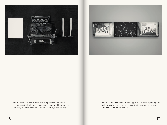



mounir fatmi, *History Is Not Mine*, 2013, France (video still). HD Video, single-channel, colour, stereo sound. Duration: 5'. Courtesy of the artist and Goodman Gallery, Johannesburg

mounir fatmi, *The Angel's Black Leg,* 2011. Duratrans photograph on lightbox, 70×100 cm each (tryptich). Courtesy of the artist and ADN Galeria, Barcelona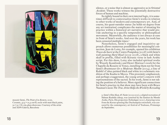

mounir fatmi, *The Point of no Return,* 2022. Ceramic,  $37.5 \times 21.5$  cm  $\Omega$ , socle with matt black paint, 30 ×30 ×80 cm; glass showcase. Courtesy of the artist and ADN Galeria, Barcelona

silence, or a noise that is almost as aggressive as in *Oriental Accident*. These works witness the potentially destructive forces of human and machine.

So tightly bound in their own internal logic, it is some times difficult to contextualize fatmi's works in relation to other works of modern and contemporary art. And, of course, his quasi-outsider status (he holds no degree from any art institution) complicates the matter of situating his practice within a historical art narrative that would pro vide anchoring in a specific temporality or philosophical movement. Meanwhile, the audience is not always at ease in front of fatmi's works. And over the years, his work has been censored multiple times. 5

Nonetheless, fatmi's engaged and inquisitive ap proach allows numerous possibilities for meaningful con nection. Jean de Loisy, for example, opened his exhibition *Traces du Sacré* at the Centre Pompidou (2008) with fatmi's wall painting *Hard Head* (2005–2008), a black and white skull in profile, filled with Koranic verse in lush Arabic script. For this show, Loisy also included spiritual works by Wassily Kandinsky and Henri Matisse's work for the Chapelle du Rosaire in Vence, installing them not far from fatmi's *Brainteaser for a Moderate Muslim* (2004), a line of Rubik's Cubes painted black and white in a schematic ren dition of the Kaaba in Mecca. This proximity emphasized, and perhaps exaggerated, the young artist's concern with representations of the sacred. In his work, fatmi is not taking the position of a believer. More significant connections for fatmi's practice in that show may have been with Bruce Nauman's neon *The True Artist Helps the World by Revealing* 

5. fatmi's film *Sleep Al-Naim* (2005-2012), a digital recreation of Salman Rushdie asleep, was censored by the Institut du Monde Arabe, Paris. His projection *Technologia* (2010), featuring verse from the Koran spinning like Duchampian rotoreliefs, was cen sored by the contemporary art festival of Toulouse, Printemps de Septembre.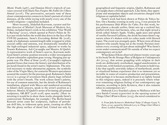*Mystic Truths* (1967), and Damien Hirst's triptych of canvases covered with black f lies *Forgive Me Father for I Have Sinned* (2006). The provocative, sarcastic tone of these closer contemporaries connects to fatmi's pursuit of critical distance, all the while toying with nearly every one of the world's religions—capitalism included.

More recently, Abdellah Karroum, curator and former director of Mathaf (Arab Museum of Modern Art, Doha), included fatmi's work in his exhibition "Our World is Burning" (2020), which opened at Paris's Palais de Tokyo just weeks before the world shut down in the face of the COVID pandemic. fatmi's *Everything Behind Me* (2018), made of a diplomatic summit-length table wrapped in white coaxial cables and antenna, was dramatically installed in the high-ceilinged industrial space, adjacent to works by Younès Rahmoun, Asli Cavusoğlu and Monira Al Qadiri. A representative work of fatmi's oeuvre, Karroum mobilized fatmi's artistic position towards a wider investigation of post-colonialist capitalism gone wrong. Hanging just opposite was *The Place of Stone* (2018), Cavusoglu's eighteen paneled fresco that traces the history and distribution of lapis lazuli found in the artist's native Afghanistan. The mineral necessary to make ultramarine pigment, the symbolic color of the Virgin Mary, for centuries Western speculators scoured the country for the precious good. Rahmoun's *Nafas* (2001) is a group of seventeen black plastic bags inf lated with the artist's breath. The work echoes fatmi's palette, his use of common materials, but the details of Rahmoun's installation, aligned with Mecca and numbered according to Islam's daily prayers, speak to the artist's position as a believer. Monira Al Qadiri's series of levitating 3D printed sculptures, *OR-BIT* (2016–2018) spun nearby. (How interesting it would be to show these works alongside fatmi's controversial *Technologia*, for example.) The Berlin-based Kuwaiti artist coats her sculptures, replicas of petroleum drill bits, in iridescent spray paint, creating an effect like the glossy surface of diesel fuel. United not only by

geographical and linguistic origins, Qadiri, Rahmoun and Çavus¸og˘lu share a formal approach. Like fatmi, they appropriate and manipulate objects and circuitries charged with religious or capitalist belief.

fatmi's work had been shown at Palais de Tokyo before. On a Sunday evening in early 2014, I was present for his performance *Holy Water Ice Cubes*. For this work, begun almost a decade earlier, fatmi sets up a cocktail bar, staffed with bow-tied barmen, who, on that night mixed a drink called Adam's Apple. Vodka, apple juice and splash of vanilla flavored Galliano, the drink becomes fatmi's signature when it's shaken with ice cubes made with blessed water. The event was strangely quiet. Where were all those hipsters who usually hung out at the trendy Parisian institution every evening till just about midnight? Was fatmi's event under-communicated? Or outside of what we expect contemporary art to be?

What James Elkins observed almost twenty years ago in his book *On the Strange Place of Religion in Contemporary Art* (2004), that artists grappling with religion in their work are deliberately overlooked, tagged anachronistic or irrelevant, with limited exceptions, still seems to hold true. Like that equally unwieldy subject of motherhood, another ritualized human experience that is so immense yet so invisible in zones of creative production and presentation. And perhaps it is because motherhood is so tightly bound in this religious space, indeed it is precisely where whatever remaining religious feeling of our contemporary age remains, according to Julia Kristeva, that it also remains taboo in contemporary art.<sup>6</sup>

Deborah Levy boarded a plane to Mallorca with her own Smith Corona typewriter in the opening scenes of *Things I Don't Want to Know* (2013), the novel considered to

6. From Julia Kristeva's *Motherhood Today* (Colloque Gypsy V, Paris, 2005), quoted by Deborah Levy in *Things I Don't Want to Know*. London: Penguin, 2013.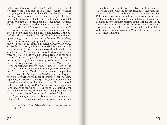be the writer's manifesto. George Sand had famously spent a winter on the island more than a century before, with her two young children and her lover Chopin. So why not? At the height of a personal crisis in London, Levy left her husband and children and "booked a flight to somewhere I did actually want to go". Seat 44 of an EasyJet direct to Palma. She had to escape what she names a "Societal System", driven by the "world's nostalgic phantasy of the mother".7

While fatmi's practice is not aimed at dismantling the cult of motherhood, he is chiseling, quietly, at the beliefs that shape it. And as Chris Ofili infamously did in elephant dung and glitter on canvas (*The Holy Virgin Mary*, 1996), fatmi has also appropriated the figure of *La Vierge Marie* in his work. fatmi's bas-relief *Sequence sculpture: La Pietà* (2007–2010) is drawn, after Michelangelo's marble *Mater Dolorosa* (1499), with white coaxial cable stapled to a wood panel. In Michelangelo's, as well as fatmi's work, any trace of Çavuşoğlu's lapis lazuli-based ultramarine has been drained from the Virgin's cloak. Like fatmi's early painterly erasures, the High Renaissance original is dramatically reduced, existing only, really, in its effacement. More recently, for one of the works in his *Fourth Cover* series, fatmi chose to frame an edition of the French art magazine *Connaissance des Arts*, covers out. On the front of the monthly publication, Fra Angelico's *Virgin with Child* (1450), a masterpiece of an exhibition that would open at a major French museum, is juxtaposed, via fatmi's simple gesture, with a Louis Vuitton advertisement, the so-called fourth cover. But what fatmi collides with the image of Fra Angelico's icon is not just any handbag, any ad campaign. It is Angelina Jolie, at the height of her mediatized magical maternity, snuggling next to a monogrammed piece of leather as if it was her firstborn.

Again and again, fatmi pulls religion, that most powerful of belief systems, into view. He insists on an examination

7. Deborah Levy, *Things I Don't Want to Know*. London: Penguin, 2013, p.21.

of belief, belief in the stories (circuitries built in language) we tell about the world and about ourselves. When fatmi participated in this first Lyon Biennale, the young artist Aurélia Zahedi was growing up in a village not far from the city, and she too would soon take on the Virgin Mary. She is currently planning to plant the footprints of the Virgin Mary in the desert surrounding Jericho. With the animals she encounters in the dunes, their eyes as if electric in the headlights, Zahedi plans to make a *bestiaire*. Where she makes room for a da Vinci eating goat.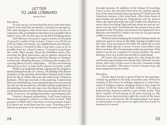### LETTER TO JANE LOMBARD

mounir fatmi

Dear Jane,

As you can see, it's been hard for me to write this letter. I had to wait until the last minute. I needed an emergency. The same emergency that drives me to create art in any circumstance, like an ambulance that takes every possible risk in order to save a life. In this case, it's my life I'm talking about.

I left Morocco for good in 1999 in search of a freedom of speech I couldn't find at home. I had to cut off all ties with my father, my family, my neighborhood and ultimately my country. I wanted to take a step back, to get as far as possible from my cultural context. I wanted to experience the world. Meet people. Read the forbidden books. Discovering the Beat generation and its authors allowed me to get away. My encounter with Paul Bowles in Tangiers was decisive. Reading Kerouac, Ginsberg, Burroughs, discovering Brion Gysin's calligraphy… All this nourishment allowed me to live, to hope and to dream of a better world.

While I was studying in Rome, I discovered Fra Angelico's small painting from the 15<sup>th</sup> century, *The Healing of the Deacon Justinian*. In the painting, the brothers Damian and Cosmas graft the leg of a black man onto the white body of Deacon Justinian. After just one look at this painting, I understood that I was that black leg. I was surprised that everyone around me only saw the perspective, the light and the composition in the painting. I was the only one to see this black leg. This alien element has been living within me and made me who I am today. A survivor. An immigrant worker. A permanent exile.

I haven't changed nationalities. I still travel with my Moroccan passport, which is a work of art in itself. That passport is filled with visas from several countries where I've shown my work these last few years. Traveling with a Moroccan passport is an adventure. I'm never sure I'll get through customs. In addition to the fatigue of traveling, I have to face the stressful interviews by customs agents. One of the most traumatizing experiences I've had was with American customs, a few years back. After three hours of questioning and getting my fingerprints and my picture taken, the agent presented me with a bible and asked me to swear that everything I had told him about me and my relatives was the truth. I told him that the reason I was in this situation in the first place was because I'm supposed to be a Muslim and therefore I didn't see why he was giving me a bible to swear the truth.

Without acknowledging the remark I had just made, he asked me again to swear on the bible, looking straight at me this time. I put my hand on the bible. He asked me to raise the other hand and say: I swear. I swore. I just didn't want him to send me off to Guantanamo under any pretense. That instant was for me a moment of extreme lucidity. No more illusions. I live in a world I am not able to understand.

Of course the customs agent was only doing his job, and his job required him to be afraid of me. His fear wounded me, and I carry it like a scar to this day. I wanted to help him, but I couldn't. The more I tried to reassure him, the more suspicious I grew to him.

#### Dear Jane,

I know that I am just a speck of dust in this machine. A black leg grafted on the body of another man. What I'm relating in this letter is nothing compared to what thousands of refugees endure, dodging death as they hope for a better world for them and their children. I've always believed that America could be a part of that world. That heart capable of welcoming us all and warming us. My illusions were shattered the night the result of the latest election was announced. My disappointment was huge. I realized that we may never see again this free world we dreamed of so much.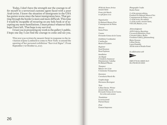Today, I don't have the strength nor the courage to offer myself to a terrorized customs agent faced with a poor Arab artist. I know the situation of immigrants in the USA has gotten worse since the latest immigration laws. That getting through the border is more and more difficult. This time I would be incapable of swearing on any holy book or of accepting any more humiliations. I must protect whatever little hope I have left. That hope is my survival.

I trust you in presenting my work to the gallery's public. I hope one day I can find the courage to come and see you.

This text was written by mounir fatmi in response to the invitation of Jane Lombard to come to New York to attend the opening of her personal exhibition "Survival Signs". From September 7 to October 21, 2017.

*While the Storm Arrives* mounir fatmi From 17th March to 19th June 2022

*Organization* Es Baluard Museu d'Art Contemporani de Palma

*Director*  Imma Prieto

*Curator* Fernando Gómez de la Cuesta

*Exhibition Coordination* Catalina Joy Beatriz Escudero

*Registrar* Soad Houman Rosa Espinosa

*Installation* Art Ràpid Cristalería Amanecer Ebanistería J. Cañellas Es Baluard Museu

*Transport* Balears Art i Llar Crisóstomo Transportes

*Insurances* Correduría March-Rs

*Graphic design* Hermanos Berenguer

*Texts* Lillian Davies. Writer mounir fatmi. Artist Fernando Gómez de la Cuesta. Art critic and curator

*Translations* la correccional Patrick Haour

*Print* Esment Impremta *Photographic Credits* Studio Fatmi

© of the present edition, Fundació Es Baluard Museu d'Art Contemporani de Palma, 2022 © of the texts, the authors © of the works, mounir fatmi, VEGAP, Balears, 2022

*Acknowledgments*

ADN Galeria, Barcelona Ceysson & Bénétière, Paris Conrads Gallery, Berlin Goodman Gallery, Johannesburg

Blaire Dessent Lillian Davies Laura Pandolfo All the team of Studio Fatmi

*In collaboration with*



ISBN 978-84-18803-34-5 DL PM 00133-2022